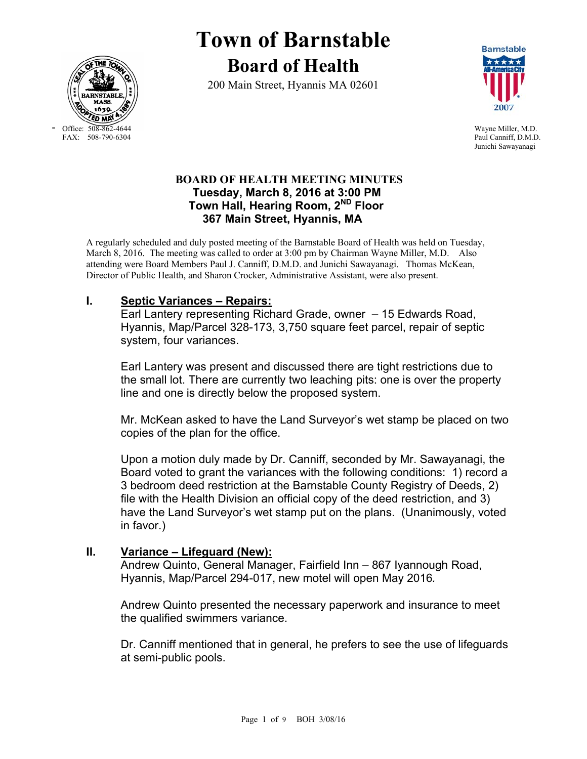

- Office: 508-862-4644 Wayne Miller, M.D.<br>FAX: 508-790-6304 Paul Canniff, D.M.D

# **Town of Barnstable Board of Health**

200 Main Street, Hyannis MA 02601



Paul Canniff, D.M.D. Junichi Sawayanagi

## **BOARD OF HEALTH MEETING MINUTES Tuesday, March 8, 2016 at 3:00 PM Town Hall, Hearing Room, 2ND Floor 367 Main Street, Hyannis, MA**

A regularly scheduled and duly posted meeting of the Barnstable Board of Health was held on Tuesday, March 8, 2016. The meeting was called to order at 3:00 pm by Chairman Wayne Miller, M.D. Also attending were Board Members Paul J. Canniff, D.M.D. and Junichi Sawayanagi. Thomas McKean, Director of Public Health, and Sharon Crocker, Administrative Assistant, were also present.

## **I. Septic Variances – Repairs:**

Earl Lantery representing Richard Grade, owner – 15 Edwards Road, Hyannis, Map/Parcel 328-173, 3,750 square feet parcel, repair of septic system, four variances.

Earl Lantery was present and discussed there are tight restrictions due to the small lot. There are currently two leaching pits: one is over the property line and one is directly below the proposed system.

Mr. McKean asked to have the Land Surveyor's wet stamp be placed on two copies of the plan for the office.

Upon a motion duly made by Dr. Canniff, seconded by Mr. Sawayanagi, the Board voted to grant the variances with the following conditions: 1) record a 3 bedroom deed restriction at the Barnstable County Registry of Deeds, 2) file with the Health Division an official copy of the deed restriction, and 3) have the Land Surveyor's wet stamp put on the plans. (Unanimously, voted in favor.)

## **II. Variance – Lifeguard (New):**

 Andrew Quinto, General Manager, Fairfield Inn – 867 Iyannough Road, Hyannis, Map/Parcel 294-017, new motel will open May 2016*.* 

Andrew Quinto presented the necessary paperwork and insurance to meet the qualified swimmers variance.

Dr. Canniff mentioned that in general, he prefers to see the use of lifeguards at semi-public pools.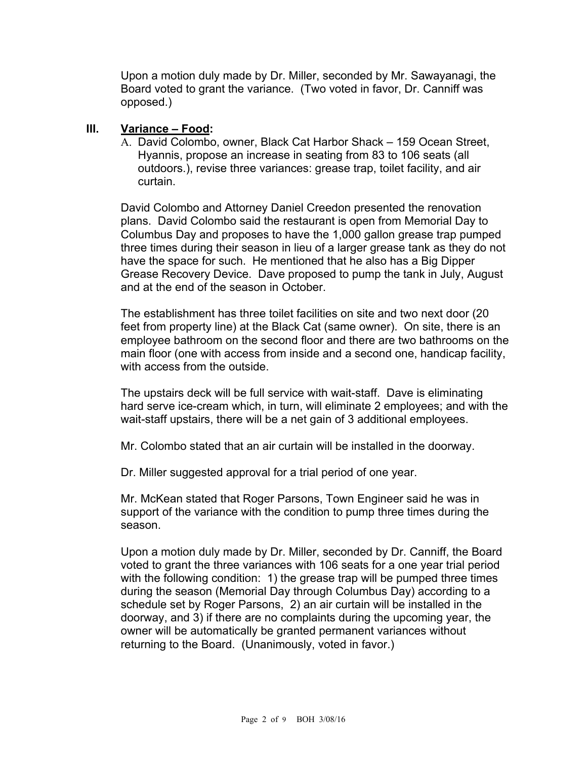Upon a motion duly made by Dr. Miller, seconded by Mr. Sawayanagi, the Board voted to grant the variance. (Two voted in favor, Dr. Canniff was opposed.)

### **III. Variance – Food:**

A. David Colombo, owner, Black Cat Harbor Shack – 159 Ocean Street, Hyannis, propose an increase in seating from 83 to 106 seats (all outdoors.), revise three variances: grease trap, toilet facility, and air curtain.

David Colombo and Attorney Daniel Creedon presented the renovation plans. David Colombo said the restaurant is open from Memorial Day to Columbus Day and proposes to have the 1,000 gallon grease trap pumped three times during their season in lieu of a larger grease tank as they do not have the space for such. He mentioned that he also has a Big Dipper Grease Recovery Device. Dave proposed to pump the tank in July, August and at the end of the season in October.

The establishment has three toilet facilities on site and two next door (20 feet from property line) at the Black Cat (same owner). On site, there is an employee bathroom on the second floor and there are two bathrooms on the main floor (one with access from inside and a second one, handicap facility, with access from the outside.

The upstairs deck will be full service with wait-staff. Dave is eliminating hard serve ice-cream which, in turn, will eliminate 2 employees; and with the wait-staff upstairs, there will be a net gain of 3 additional employees.

Mr. Colombo stated that an air curtain will be installed in the doorway.

Dr. Miller suggested approval for a trial period of one year.

Mr. McKean stated that Roger Parsons, Town Engineer said he was in support of the variance with the condition to pump three times during the season.

Upon a motion duly made by Dr. Miller, seconded by Dr. Canniff, the Board voted to grant the three variances with 106 seats for a one year trial period with the following condition: 1) the grease trap will be pumped three times during the season (Memorial Day through Columbus Day) according to a schedule set by Roger Parsons, 2) an air curtain will be installed in the doorway, and 3) if there are no complaints during the upcoming year, the owner will be automatically be granted permanent variances without returning to the Board. (Unanimously, voted in favor.)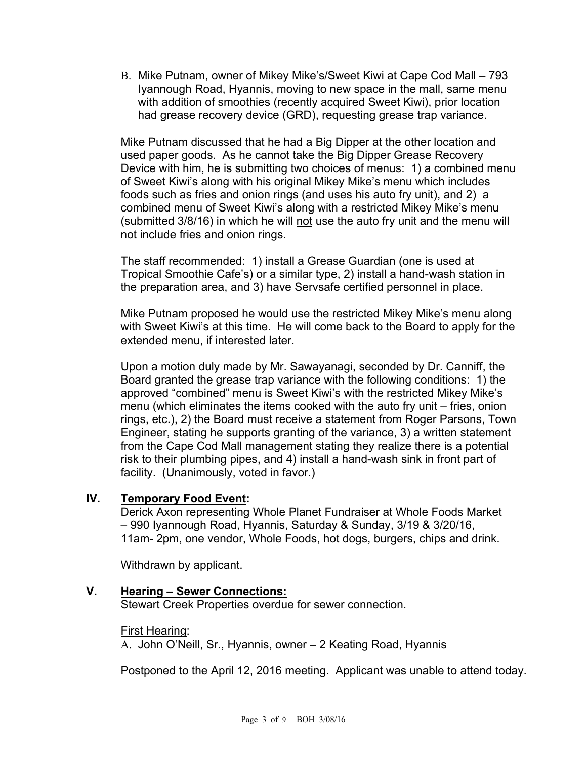B. Mike Putnam, owner of Mikey Mike's/Sweet Kiwi at Cape Cod Mall – 793 Iyannough Road, Hyannis, moving to new space in the mall, same menu with addition of smoothies (recently acquired Sweet Kiwi), prior location had grease recovery device (GRD), requesting grease trap variance.

Mike Putnam discussed that he had a Big Dipper at the other location and used paper goods. As he cannot take the Big Dipper Grease Recovery Device with him, he is submitting two choices of menus: 1) a combined menu of Sweet Kiwi's along with his original Mikey Mike's menu which includes foods such as fries and onion rings (and uses his auto fry unit), and 2) a combined menu of Sweet Kiwi's along with a restricted Mikey Mike's menu (submitted 3/8/16) in which he will not use the auto fry unit and the menu will not include fries and onion rings.

The staff recommended: 1) install a Grease Guardian (one is used at Tropical Smoothie Cafe's) or a similar type, 2) install a hand-wash station in the preparation area, and 3) have Servsafe certified personnel in place.

Mike Putnam proposed he would use the restricted Mikey Mike's menu along with Sweet Kiwi's at this time. He will come back to the Board to apply for the extended menu, if interested later.

Upon a motion duly made by Mr. Sawayanagi, seconded by Dr. Canniff, the Board granted the grease trap variance with the following conditions: 1) the approved "combined" menu is Sweet Kiwi's with the restricted Mikey Mike's menu (which eliminates the items cooked with the auto fry unit – fries, onion rings, etc.), 2) the Board must receive a statement from Roger Parsons, Town Engineer, stating he supports granting of the variance, 3) a written statement from the Cape Cod Mall management stating they realize there is a potential risk to their plumbing pipes, and 4) install a hand-wash sink in front part of facility. (Unanimously, voted in favor.)

## **IV. Temporary Food Event:**

Derick Axon representing Whole Planet Fundraiser at Whole Foods Market – 990 Iyannough Road, Hyannis, Saturday & Sunday, 3/19 & 3/20/16, 11am- 2pm, one vendor, Whole Foods, hot dogs, burgers, chips and drink.

Withdrawn by applicant.

**V. Hearing – Sewer Connections:** 

Stewart Creek Properties overdue for sewer connection.

## First Hearing:

A. John O'Neill, Sr., Hyannis, owner – 2 Keating Road, Hyannis

Postponed to the April 12, 2016 meeting. Applicant was unable to attend today.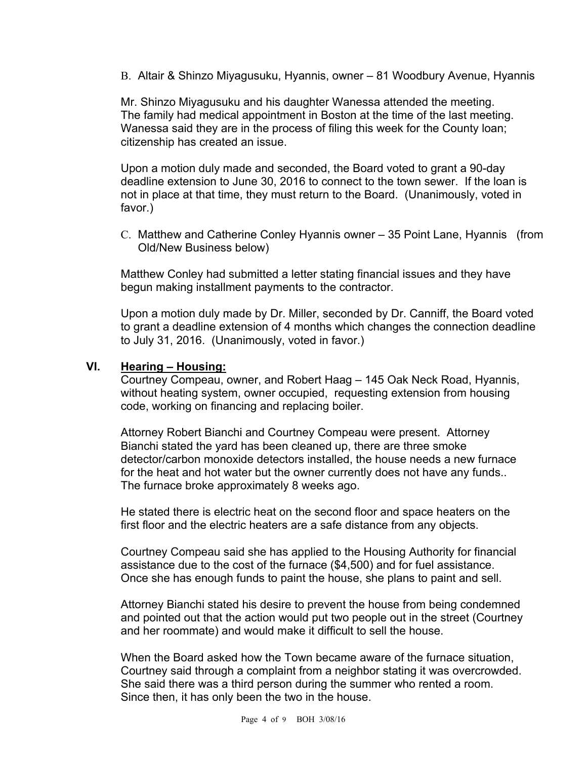B. Altair & Shinzo Miyagusuku, Hyannis, owner – 81 Woodbury Avenue, Hyannis

Mr. Shinzo Miyagusuku and his daughter Wanessa attended the meeting. The family had medical appointment in Boston at the time of the last meeting. Wanessa said they are in the process of filing this week for the County loan; citizenship has created an issue.

Upon a motion duly made and seconded, the Board voted to grant a 90-day deadline extension to June 30, 2016 to connect to the town sewer. If the loan is not in place at that time, they must return to the Board. (Unanimously, voted in favor.)

C. Matthew and Catherine Conley Hyannis owner – 35 Point Lane, Hyannis (from Old/New Business below)

Matthew Conley had submitted a letter stating financial issues and they have begun making installment payments to the contractor.

Upon a motion duly made by Dr. Miller, seconded by Dr. Canniff, the Board voted to grant a deadline extension of 4 months which changes the connection deadline to July 31, 2016. (Unanimously, voted in favor.)

#### **VI. Hearing – Housing:**

Courtney Compeau, owner, and Robert Haag – 145 Oak Neck Road, Hyannis, without heating system, owner occupied, requesting extension from housing code, working on financing and replacing boiler.

Attorney Robert Bianchi and Courtney Compeau were present. Attorney Bianchi stated the yard has been cleaned up, there are three smoke detector/carbon monoxide detectors installed, the house needs a new furnace for the heat and hot water but the owner currently does not have any funds.. The furnace broke approximately 8 weeks ago.

He stated there is electric heat on the second floor and space heaters on the first floor and the electric heaters are a safe distance from any objects.

Courtney Compeau said she has applied to the Housing Authority for financial assistance due to the cost of the furnace (\$4,500) and for fuel assistance. Once she has enough funds to paint the house, she plans to paint and sell.

Attorney Bianchi stated his desire to prevent the house from being condemned and pointed out that the action would put two people out in the street (Courtney and her roommate) and would make it difficult to sell the house.

When the Board asked how the Town became aware of the furnace situation, Courtney said through a complaint from a neighbor stating it was overcrowded. She said there was a third person during the summer who rented a room. Since then, it has only been the two in the house.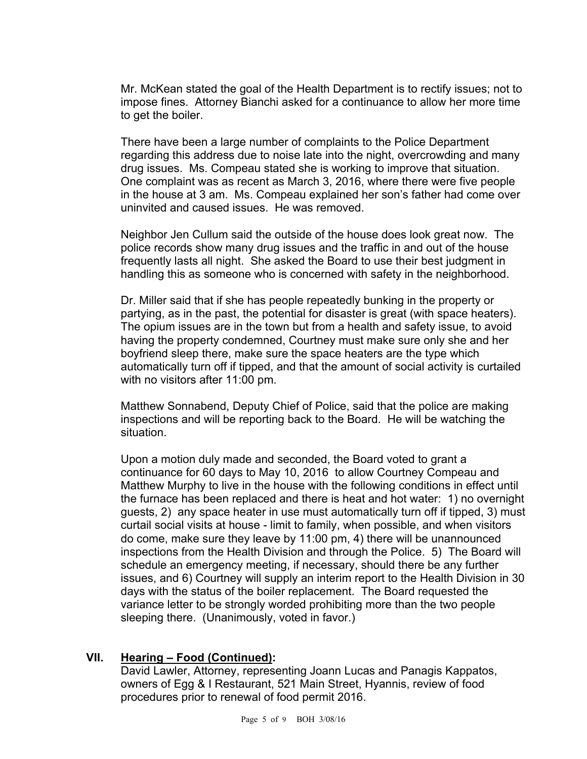Mr. McKean stated the goal of the Health Department is to rectify issues; not to impose fines. Attorney Bianchi asked for a continuance to allow her more time to get the boiler.

There have been a large number of complaints to the Police Department regarding this address due to noise late into the night, overcrowding and many drug issues. Ms. Compeau stated she is working to improve that situation. One complaint was as recent as March 3, 2016, where there were five people in the house at 3 am. Ms. Compeau explained her son's father had come over uninvited and caused issues. He was removed.

Neighbor Jen Cullum said the outside of the house does look great now. The police records show many drug issues and the traffic in and out of the house frequently lasts all night. She asked the Board to use their best judgment in handling this as someone who is concerned with safety in the neighborhood.

Dr. Miller said that if she has people repeatedly bunking in the property or partying, as in the past, the potential for disaster is great (with space heaters). The opium issues are in the town but from a health and safety issue, to avoid having the property condemned, Courtney must make sure only she and her boyfriend sleep there, make sure the space heaters are the type which automatically turn off if tipped, and that the amount of social activity is curtailed with no visitors after 11:00 pm.

Matthew Sonnabend, Deputy Chief of Police, said that the police are making inspections and will be reporting back to the Board. He will be watching the situation.

Upon a motion duly made and seconded, the Board voted to grant a continuance for 60 days to May 10, 2016 to allow Courtney Compeau and Matthew Murphy to live in the house with the following conditions in effect until the furnace has been replaced and there is heat and hot water: 1) no overnight guests, 2) any space heater in use must automatically turn off if tipped, 3) must curtail social visits at house - limit to family, when possible, and when visitors do come, make sure they leave by 11:00 pm, 4) there will be unannounced inspections from the Health Division and through the Police. 5) The Board will schedule an emergency meeting, if necessary, should there be any further issues, and 6) Courtney will supply an interim report to the Health Division in 30 days with the status of the boiler replacement. The Board requested the variance letter to be strongly worded prohibiting more than the two people sleeping there. (Unanimously, voted in favor.)

#### **VII. Hearing – Food (Continued):**

David Lawler, Attorney, representing Joann Lucas and Panagis Kappatos, owners of Egg & I Restaurant, 521 Main Street, Hyannis, review of food procedures prior to renewal of food permit 2016.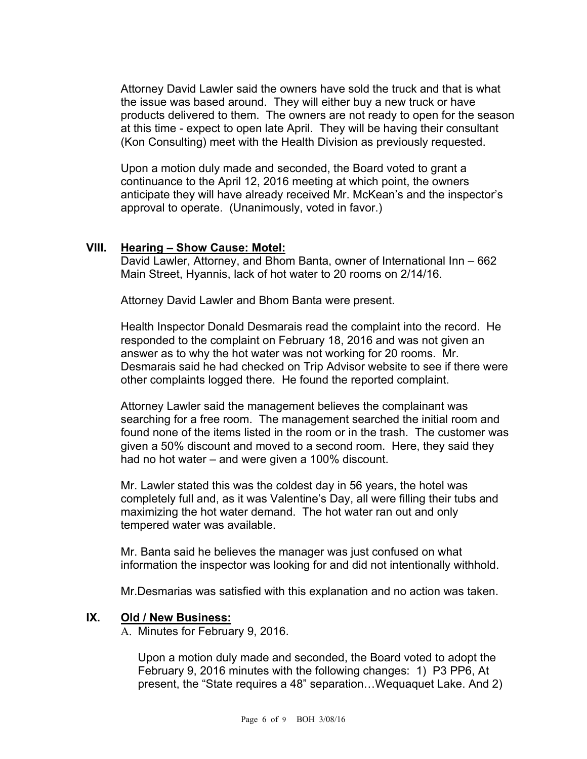Attorney David Lawler said the owners have sold the truck and that is what the issue was based around. They will either buy a new truck or have products delivered to them. The owners are not ready to open for the season at this time - expect to open late April. They will be having their consultant (Kon Consulting) meet with the Health Division as previously requested.

Upon a motion duly made and seconded, the Board voted to grant a continuance to the April 12, 2016 meeting at which point, the owners anticipate they will have already received Mr. McKean's and the inspector's approval to operate. (Unanimously, voted in favor.)

#### **VIII. Hearing – Show Cause: Motel:**

David Lawler, Attorney, and Bhom Banta, owner of International Inn – 662 Main Street, Hyannis, lack of hot water to 20 rooms on 2/14/16.

Attorney David Lawler and Bhom Banta were present.

Health Inspector Donald Desmarais read the complaint into the record. He responded to the complaint on February 18, 2016 and was not given an answer as to why the hot water was not working for 20 rooms. Mr. Desmarais said he had checked on Trip Advisor website to see if there were other complaints logged there. He found the reported complaint.

Attorney Lawler said the management believes the complainant was searching for a free room. The management searched the initial room and found none of the items listed in the room or in the trash. The customer was given a 50% discount and moved to a second room. Here, they said they had no hot water – and were given a 100% discount.

Mr. Lawler stated this was the coldest day in 56 years, the hotel was completely full and, as it was Valentine's Day, all were filling their tubs and maximizing the hot water demand. The hot water ran out and only tempered water was available.

Mr. Banta said he believes the manager was just confused on what information the inspector was looking for and did not intentionally withhold.

Mr.Desmarias was satisfied with this explanation and no action was taken.

#### **IX. Old / New Business:**

A. Minutes for February 9, 2016.

Upon a motion duly made and seconded, the Board voted to adopt the February 9, 2016 minutes with the following changes: 1) P3 PP6, At present, the "State requires a 48" separation…Wequaquet Lake. And 2)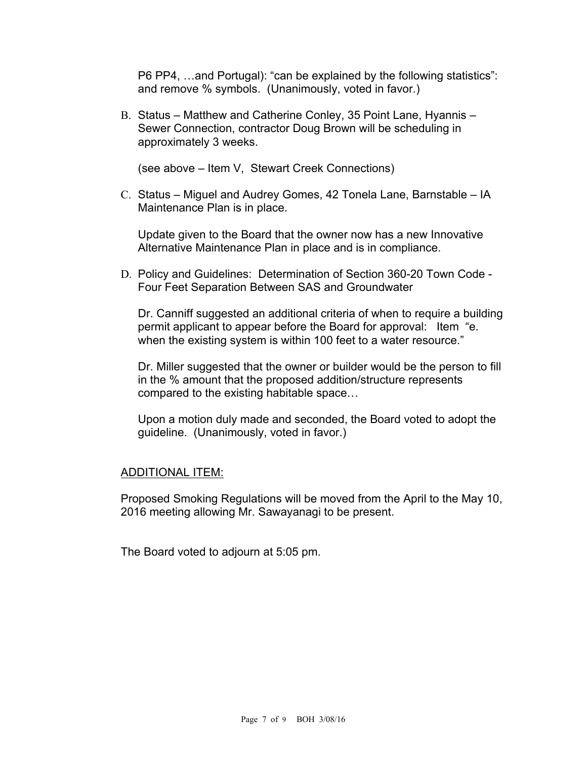P6 PP4, …and Portugal): "can be explained by the following statistics": and remove % symbols. (Unanimously, voted in favor.)

B. Status – Matthew and Catherine Conley, 35 Point Lane, Hyannis – Sewer Connection, contractor Doug Brown will be scheduling in approximately 3 weeks.

(see above – Item V, Stewart Creek Connections)

C. Status – Miguel and Audrey Gomes, 42 Tonela Lane, Barnstable – IA Maintenance Plan is in place.

Update given to the Board that the owner now has a new Innovative Alternative Maintenance Plan in place and is in compliance.

D. Policy and Guidelines: Determination of Section 360-20 Town Code - Four Feet Separation Between SAS and Groundwater

Dr. Canniff suggested an additional criteria of when to require a building permit applicant to appear before the Board for approval: Item "e. when the existing system is within 100 feet to a water resource."

Dr. Miller suggested that the owner or builder would be the person to fill in the % amount that the proposed addition/structure represents compared to the existing habitable space…

Upon a motion duly made and seconded, the Board voted to adopt the guideline. (Unanimously, voted in favor.)

#### ADDITIONAL ITEM:

Proposed Smoking Regulations will be moved from the April to the May 10, 2016 meeting allowing Mr. Sawayanagi to be present.

The Board voted to adjourn at 5:05 pm.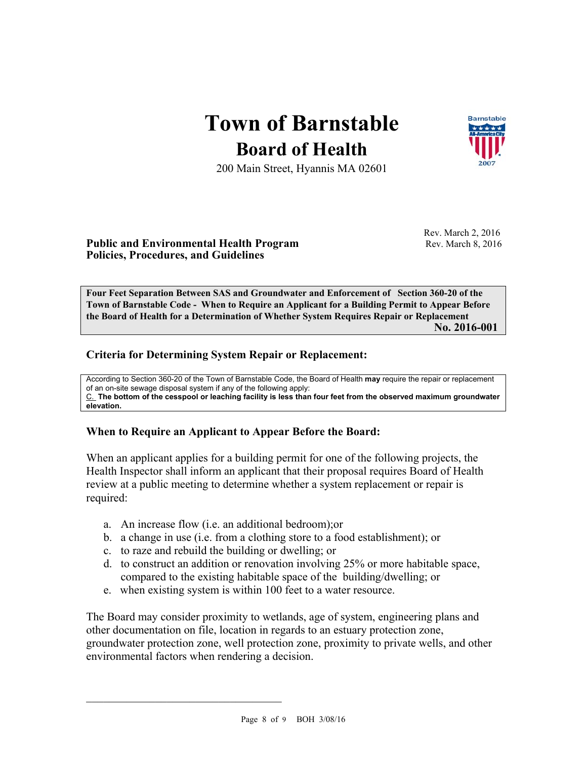## **Town of Barnstable Board of Health**



200 Main Street, Hyannis MA 02601

#### **Public and Environmental Health Program**  Rev. March 8, 2016 **Policies, Procedures, and Guidelines**

Rev. March 2, 2016

**Four Feet Separation Between SAS and Groundwater and Enforcement of Section 360-20 of the Town of Barnstable Code - When to Require an Applicant for a Building Permit to Appear Before the Board of Health for a Determination of Whether System Requires Repair or Replacement No. 2016-001**

#### **Criteria for Determining System Repair or Replacement:**

According to Section 360-20 of the Town of Barnstable Code, the Board of Health **may** require the repair or replacement of an on-site sewage disposal system if any of the following apply: C. **The bottom of the cesspool or leaching facility is less than four feet from the observed maximum groundwater elevation.** 

#### **When to Require an Applicant to Appear Before the Board:**

When an applicant applies for a building permit for one of the following projects, the Health Inspector shall inform an applicant that their proposal requires Board of Health review at a public meeting to determine whether a system replacement or repair is required:

- a. An increase flow (i.e. an additional bedroom);or
- b. a change in use (i.e. from a clothing store to a food establishment); or
- c. to raze and rebuild the building or dwelling; or
- d. to construct an addition or renovation involving 25% or more habitable space, compared to the existing habitable space of the building/dwelling; or
- e. when existing system is within 100 feet to a water resource.

The Board may consider proximity to wetlands, age of system, engineering plans and other documentation on file, location in regards to an estuary protection zone, groundwater protection zone, well protection zone, proximity to private wells, and other environmental factors when rendering a decision.